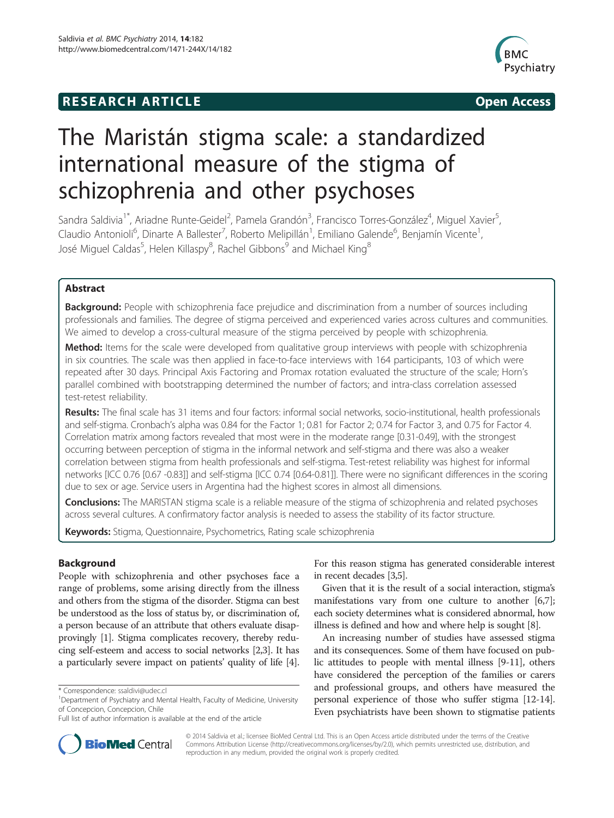# **RESEARCH ARTICLE Example 2008 CONSIDERING CONSIDERING CONSIDERING CONSIDERING CONSIDERING CONSIDERING CONSIDERING CONSIDERING CONSIDERING CONSIDERING CONSIDERING CONSIDERING CONSIDERING CONSIDERING CONSIDERING CONSIDE**



# The Maristán stigma scale: a standardized international measure of the stigma of schizophrenia and other psychoses

Sandra Saldivia<sup>1\*</sup>, Ariadne Runte-Geidel<sup>2</sup>, Pamela Grandón<sup>3</sup>, Francisco Torres-González<sup>4</sup>, Miguel Xavier<sup>5</sup> , Claudio Antonioli<sup>6</sup>, Dinarte A Ballester<sup>7</sup>, Roberto Melipillán<sup>1</sup>, Emiliano Galende<sup>6</sup>, Benjamín Vicente<sup>1</sup> , José Miguel Caldas<sup>5</sup>, Helen Killaspy<sup>8</sup>, Rachel Gibbons<sup>9</sup> and Michael King<sup>8</sup>

# Abstract

Background: People with schizophrenia face prejudice and discrimination from a number of sources including professionals and families. The degree of stigma perceived and experienced varies across cultures and communities. We aimed to develop a cross-cultural measure of the stigma perceived by people with schizophrenia.

Method: Items for the scale were developed from qualitative group interviews with people with schizophrenia in six countries. The scale was then applied in face-to-face interviews with 164 participants, 103 of which were repeated after 30 days. Principal Axis Factoring and Promax rotation evaluated the structure of the scale; Horn's parallel combined with bootstrapping determined the number of factors; and intra-class correlation assessed test-retest reliability.

Results: The final scale has 31 items and four factors: informal social networks, socio-institutional, health professionals and self-stigma. Cronbach's alpha was 0.84 for the Factor 1; 0.81 for Factor 2; 0.74 for Factor 3, and 0.75 for Factor 4. Correlation matrix among factors revealed that most were in the moderate range [0.31-0.49], with the strongest occurring between perception of stigma in the informal network and self-stigma and there was also a weaker correlation between stigma from health professionals and self-stigma. Test-retest reliability was highest for informal networks [ICC 0.76 [0.67 -0.83]] and self-stigma [ICC 0.74 [0.64-0.81]]. There were no significant differences in the scoring due to sex or age. Service users in Argentina had the highest scores in almost all dimensions.

Conclusions: The MARISTAN stigma scale is a reliable measure of the stigma of schizophrenia and related psychoses across several cultures. A confirmatory factor analysis is needed to assess the stability of its factor structure.

Keywords: Stigma, Questionnaire, Psychometrics, Rating scale schizophrenia

# Background

People with schizophrenia and other psychoses face a range of problems, some arising directly from the illness and others from the stigma of the disorder. Stigma can best be understood as the loss of status by, or discrimination of, a person because of an attribute that others evaluate disapprovingly [[1](#page-7-0)]. Stigma complicates recovery, thereby reducing self-esteem and access to social networks [\[2,3](#page-7-0)]. It has a particularly severe impact on patients' quality of life [[4](#page-7-0)].

For this reason stigma has generated considerable interest in recent decades [\[3,5](#page-7-0)].

Given that it is the result of a social interaction, stigma's manifestations vary from one culture to another [[6,7](#page-7-0)]; each society determines what is considered abnormal, how illness is defined and how and where help is sought [[8\]](#page-7-0).

An increasing number of studies have assessed stigma and its consequences. Some of them have focused on public attitudes to people with mental illness [\[9-11](#page-7-0)], others have considered the perception of the families or carers and professional groups, and others have measured the personal experience of those who suffer stigma [[12](#page-7-0)-[14](#page-7-0)]. Even psychiatrists have been shown to stigmatise patients



© 2014 Saldivia et al.; licensee BioMed Central Ltd. This is an Open Access article distributed under the terms of the Creative Commons Attribution License [\(http://creativecommons.org/licenses/by/2.0\)](http://creativecommons.org/licenses/by/2.0), which permits unrestricted use, distribution, and reproduction in any medium, provided the original work is properly credited.

<sup>\*</sup> Correspondence: [ssaldivi@udec.cl](mailto:ssaldivi@udec.cl) <sup>1</sup>

<sup>&</sup>lt;sup>1</sup>Department of Psychiatry and Mental Health, Faculty of Medicine, University of Concepcion, Concepcion, Chile

Full list of author information is available at the end of the article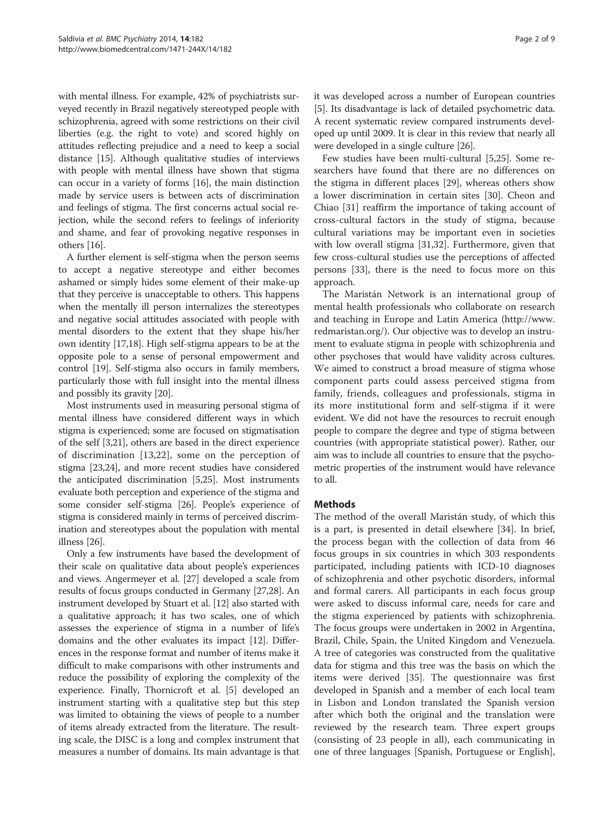with mental illness. For example, 42% of psychiatrists surveyed recently in Brazil negatively stereotyped people with schizophrenia, agreed with some restrictions on their civil liberties (e.g. the right to vote) and scored highly on attitudes reflecting prejudice and a need to keep a social distance [\[15\]](#page-7-0). Although qualitative studies of interviews with people with mental illness have shown that stigma can occur in a variety of forms [\[16\]](#page-7-0), the main distinction made by service users is between acts of discrimination and feelings of stigma. The first concerns actual social rejection, while the second refers to feelings of inferiority and shame, and fear of provoking negative responses in others [\[16](#page-7-0)].

A further element is self-stigma when the person seems to accept a negative stereotype and either becomes ashamed or simply hides some element of their make-up that they perceive is unacceptable to others. This happens when the mentally ill person internalizes the stereotypes and negative social attitudes associated with people with mental disorders to the extent that they shape his/her own identity [[17,18](#page-7-0)]. High self-stigma appears to be at the opposite pole to a sense of personal empowerment and control [[19](#page-7-0)]. Self-stigma also occurs in family members, particularly those with full insight into the mental illness and possibly its gravity [[20\]](#page-7-0).

Most instruments used in measuring personal stigma of mental illness have considered different ways in which stigma is experienced; some are focused on stigmatisation of the self [\[3,21\]](#page-7-0), others are based in the direct experience of discrimination [[13,22\]](#page-7-0), some on the perception of stigma [\[23,24](#page-7-0)], and more recent studies have considered the anticipated discrimination [[5,25](#page-7-0)]. Most instruments evaluate both perception and experience of the stigma and some consider self-stigma [[26](#page-7-0)]. People's experience of stigma is considered mainly in terms of perceived discrimination and stereotypes about the population with mental illness [[26](#page-7-0)].

Only a few instruments have based the development of their scale on qualitative data about people's experiences and views. Angermeyer et al. [[27](#page-7-0)] developed a scale from results of focus groups conducted in Germany [[27,28](#page-7-0)]. An instrument developed by Stuart et al. [[12](#page-7-0)] also started with a qualitative approach; it has two scales, one of which assesses the experience of stigma in a number of life's domains and the other evaluates its impact [\[12\]](#page-7-0). Differences in the response format and number of items make it difficult to make comparisons with other instruments and reduce the possibility of exploring the complexity of the experience. Finally, Thornicroft et al. [\[5\]](#page-7-0) developed an instrument starting with a qualitative step but this step was limited to obtaining the views of people to a number of items already extracted from the literature. The resulting scale, the DISC is a long and complex instrument that measures a number of domains. Its main advantage is that it was developed across a number of European countries [[5\]](#page-7-0). Its disadvantage is lack of detailed psychometric data. A recent systematic review compared instruments developed up until 2009. It is clear in this review that nearly all were developed in a single culture [\[26\]](#page-7-0).

Few studies have been multi-cultural [\[5,25](#page-7-0)]. Some researchers have found that there are no differences on the stigma in different places [\[29\]](#page-7-0), whereas others show a lower discrimination in certain sites [\[30\]](#page-7-0). Cheon and Chiao [\[31](#page-7-0)] reaffirm the importance of taking account of cross-cultural factors in the study of stigma, because cultural variations may be important even in societies with low overall stigma [[31,32\]](#page-7-0). Furthermore, given that few cross-cultural studies use the perceptions of affected persons [\[33\]](#page-7-0), there is the need to focus more on this approach.

The Maristán Network is an international group of mental health professionals who collaborate on research and teaching in Europe and Latin America ([http://www.](http://www.redmaristan.org/) [redmaristan.org/\)](http://www.redmaristan.org/). Our objective was to develop an instrument to evaluate stigma in people with schizophrenia and other psychoses that would have validity across cultures. We aimed to construct a broad measure of stigma whose component parts could assess perceived stigma from family, friends, colleagues and professionals, stigma in its more institutional form and self-stigma if it were evident. We did not have the resources to recruit enough people to compare the degree and type of stigma between countries (with appropriate statistical power). Rather, our aim was to include all countries to ensure that the psychometric properties of the instrument would have relevance to all.

# **Methods**

The method of the overall Maristán study, of which this is a part, is presented in detail elsewhere [[34\]](#page-8-0). In brief, the process began with the collection of data from 46 focus groups in six countries in which 303 respondents participated, including patients with ICD-10 diagnoses of schizophrenia and other psychotic disorders, informal and formal carers. All participants in each focus group were asked to discuss informal care, needs for care and the stigma experienced by patients with schizophrenia. The focus groups were undertaken in 2002 in Argentina, Brazil, Chile, Spain, the United Kingdom and Venezuela. A tree of categories was constructed from the qualitative data for stigma and this tree was the basis on which the items were derived [\[35\]](#page-8-0). The questionnaire was first developed in Spanish and a member of each local team in Lisbon and London translated the Spanish version after which both the original and the translation were reviewed by the research team. Three expert groups (consisting of 23 people in all), each communicating in one of three languages [Spanish, Portuguese or English],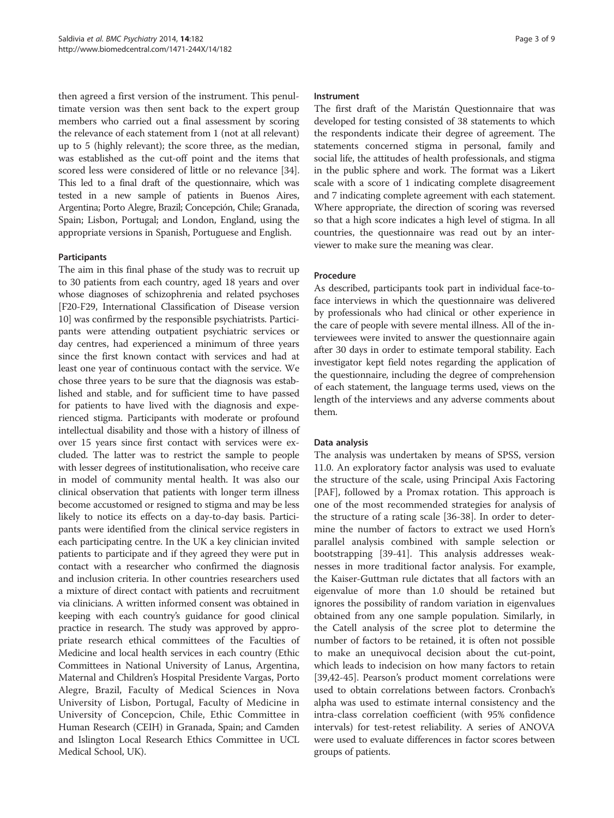then agreed a first version of the instrument. This penultimate version was then sent back to the expert group members who carried out a final assessment by scoring the relevance of each statement from 1 (not at all relevant) up to 5 (highly relevant); the score three, as the median, was established as the cut-off point and the items that scored less were considered of little or no relevance [[34](#page-8-0)]. This led to a final draft of the questionnaire, which was tested in a new sample of patients in Buenos Aires, Argentina; Porto Alegre, Brazil; Concepción, Chile; Granada, Spain; Lisbon, Portugal; and London, England, using the appropriate versions in Spanish, Portuguese and English.

# Participants

The aim in this final phase of the study was to recruit up to 30 patients from each country, aged 18 years and over whose diagnoses of schizophrenia and related psychoses [F20-F29, International Classification of Disease version 10] was confirmed by the responsible psychiatrists. Participants were attending outpatient psychiatric services or day centres, had experienced a minimum of three years since the first known contact with services and had at least one year of continuous contact with the service. We chose three years to be sure that the diagnosis was established and stable, and for sufficient time to have passed for patients to have lived with the diagnosis and experienced stigma. Participants with moderate or profound intellectual disability and those with a history of illness of over 15 years since first contact with services were excluded. The latter was to restrict the sample to people with lesser degrees of institutionalisation, who receive care in model of community mental health. It was also our clinical observation that patients with longer term illness become accustomed or resigned to stigma and may be less likely to notice its effects on a day-to-day basis. Participants were identified from the clinical service registers in each participating centre. In the UK a key clinician invited patients to participate and if they agreed they were put in contact with a researcher who confirmed the diagnosis and inclusion criteria. In other countries researchers used a mixture of direct contact with patients and recruitment via clinicians. A written informed consent was obtained in keeping with each country's guidance for good clinical practice in research. The study was approved by appropriate research ethical committees of the Faculties of Medicine and local health services in each country (Ethic Committees in National University of Lanus, Argentina, Maternal and Children's Hospital Presidente Vargas, Porto Alegre, Brazil, Faculty of Medical Sciences in Nova University of Lisbon, Portugal, Faculty of Medicine in University of Concepcion, Chile, Ethic Committee in Human Research (CEIH) in Granada, Spain; and Camden and Islington Local Research Ethics Committee in UCL Medical School, UK).

#### **Instrument**

The first draft of the Maristán Questionnaire that was developed for testing consisted of 38 statements to which the respondents indicate their degree of agreement. The statements concerned stigma in personal, family and social life, the attitudes of health professionals, and stigma in the public sphere and work. The format was a Likert scale with a score of 1 indicating complete disagreement and 7 indicating complete agreement with each statement. Where appropriate, the direction of scoring was reversed so that a high score indicates a high level of stigma. In all countries, the questionnaire was read out by an interviewer to make sure the meaning was clear.

# Procedure

As described, participants took part in individual face-toface interviews in which the questionnaire was delivered by professionals who had clinical or other experience in the care of people with severe mental illness. All of the interviewees were invited to answer the questionnaire again after 30 days in order to estimate temporal stability. Each investigator kept field notes regarding the application of the questionnaire, including the degree of comprehension of each statement, the language terms used, views on the length of the interviews and any adverse comments about them.

# Data analysis

The analysis was undertaken by means of SPSS, version 11.0. An exploratory factor analysis was used to evaluate the structure of the scale, using Principal Axis Factoring [PAF], followed by a Promax rotation. This approach is one of the most recommended strategies for analysis of the structure of a rating scale [\[36](#page-8-0)-[38\]](#page-8-0). In order to determine the number of factors to extract we used Horn's parallel analysis combined with sample selection or bootstrapping [\[39](#page-8-0)-[41\]](#page-8-0). This analysis addresses weaknesses in more traditional factor analysis. For example, the Kaiser-Guttman rule dictates that all factors with an eigenvalue of more than 1.0 should be retained but ignores the possibility of random variation in eigenvalues obtained from any one sample population. Similarly, in the Catell analysis of the scree plot to determine the number of factors to be retained, it is often not possible to make an unequivocal decision about the cut-point, which leads to indecision on how many factors to retain [[39,42-45](#page-8-0)]. Pearson's product moment correlations were used to obtain correlations between factors. Cronbach's alpha was used to estimate internal consistency and the intra-class correlation coefficient (with 95% confidence intervals) for test-retest reliability. A series of ANOVA were used to evaluate differences in factor scores between groups of patients.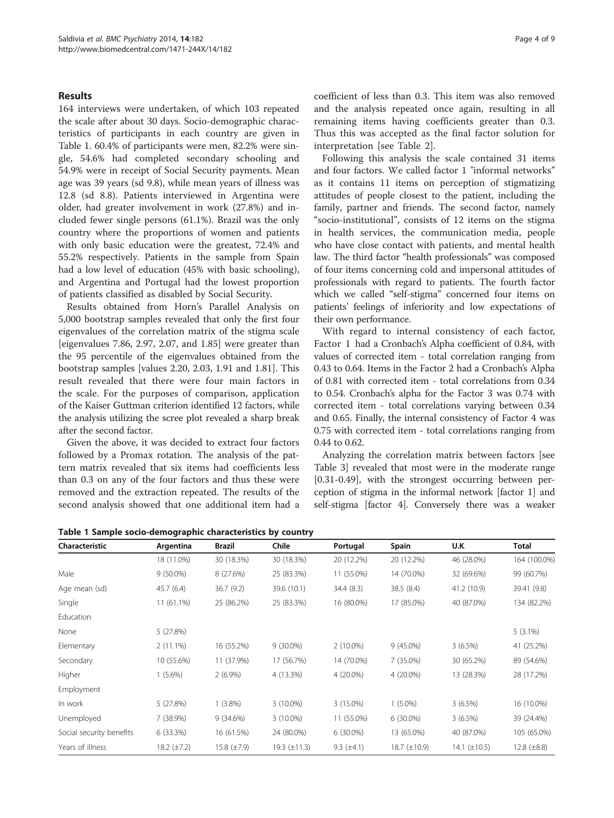# Results

164 interviews were undertaken, of which 103 repeated the scale after about 30 days. Socio-demographic characteristics of participants in each country are given in Table 1. 60.4% of participants were men, 82.2% were single, 54.6% had completed secondary schooling and 54.9% were in receipt of Social Security payments. Mean age was 39 years (sd 9.8), while mean years of illness was 12.8 (sd 8.8). Patients interviewed in Argentina were older, had greater involvement in work (27.8%) and included fewer single persons (61.1%). Brazil was the only country where the proportions of women and patients with only basic education were the greatest, 72.4% and 55.2% respectively. Patients in the sample from Spain had a low level of education (45% with basic schooling), and Argentina and Portugal had the lowest proportion of patients classified as disabled by Social Security.

Results obtained from Horn's Parallel Analysis on 5,000 bootstrap samples revealed that only the first four eigenvalues of the correlation matrix of the stigma scale [eigenvalues  $7.86$ ,  $2.97$ ,  $2.07$ , and  $1.85$ ] were greater than the 95 percentile of the eigenvalues obtained from the bootstrap samples [values 2.20, 2.03, 1.91 and 1.81]. This result revealed that there were four main factors in the scale. For the purposes of comparison, application of the Kaiser Guttman criterion identified 12 factors, while the analysis utilizing the scree plot revealed a sharp break after the second factor.

Given the above, it was decided to extract four factors followed by a Promax rotation. The analysis of the pattern matrix revealed that six items had coefficients less than 0.3 on any of the four factors and thus these were removed and the extraction repeated. The results of the second analysis showed that one additional item had a

coefficient of less than 0.3. This item was also removed and the analysis repeated once again, resulting in all remaining items having coefficients greater than 0.3. Thus this was accepted as the final factor solution for interpretation [see Table [2](#page-4-0)].

Following this analysis the scale contained 31 items and four factors. We called factor 1 "informal networks" as it contains 11 items on perception of stigmatizing attitudes of people closest to the patient, including the family, partner and friends. The second factor, namely "socio-institutional", consists of 12 items on the stigma in health services, the communication media, people who have close contact with patients, and mental health law. The third factor "health professionals" was composed of four items concerning cold and impersonal attitudes of professionals with regard to patients. The fourth factor which we called "self-stigma" concerned four items on patients' feelings of inferiority and low expectations of their own performance.

With regard to internal consistency of each factor, Factor 1 had a Cronbach's Alpha coefficient of 0.84, with values of corrected item - total correlation ranging from 0.43 to 0.64. Items in the Factor 2 had a Cronbach's Alpha of 0.81 with corrected item - total correlations from 0.34 to 0.54. Cronbach's alpha for the Factor 3 was 0.74 with corrected item - total correlations varying between 0.34 and 0.65. Finally, the internal consistency of Factor 4 was 0.75 with corrected item - total correlations ranging from 0.44 to 0.62.

Analyzing the correlation matrix between factors [see Table [3](#page-5-0)] revealed that most were in the moderate range [0.31-0.49], with the strongest occurring between perception of stigma in the informal network [factor 1] and self-stigma [factor 4]. Conversely there was a weaker

| Characteristic           | Argentina        | Brazil             | Chile               | Portugal          | Spain             | U.K.              | Total            |
|--------------------------|------------------|--------------------|---------------------|-------------------|-------------------|-------------------|------------------|
|                          | 18 (11.0%)       | 30 (18.3%)         | 30 (18.3%)          | 20 (12.2%)        | 20 (12.2%)        | 46 (28.0%)        | 164 (100.0%)     |
| Male                     | $9(50.0\%)$      | 8 (27.6%)          | 25 (83.3%)          | 11 (55.0%)        | 14 (70.0%)        | 32 (69.6%)        | 99 (60.7%)       |
| Age mean (sd)            | 45.7(6.4)        | 36.7(9.2)          | 39.6 (10.1)         | 34.4 (8.3)        | 38.5(8.4)         | 41.2 (10.9)       | 39.41 (9.8)      |
| Single                   | $11(61.1\%)$     | 25 (86.2%)         | 25 (83.3%)          | 16 (80.0%)        | 17 (85.0%)        | 40 (87.0%)        | 134 (82.2%)      |
| Education                |                  |                    |                     |                   |                   |                   |                  |
| None                     | 5(27.8%)         |                    |                     |                   |                   |                   | $5(3.1\%)$       |
| Elementary               | $2(11.1\%)$      | 16 (55.2%)         | $9(30.0\%)$         | $2(10.0\%)$       | $9(45.0\%)$       | 3(6.5%)           | 41 (25.2%)       |
| Secondary                | 10 (55.6%)       | 11 (37.9%)         | 17 (56.7%)          | 14 (70.0%)        | 7 (35.0%)         | 30 (65.2%)        | 89 (54.6%)       |
| Higher                   | $1(5.6\%)$       | $2(6.9\%)$         | 4 (13.3%)           | 4 (20.0%)         | 4 (20.0%)         | 13 (28.3%)        | 28 (17.2%)       |
| Employment               |                  |                    |                     |                   |                   |                   |                  |
| In work                  | 5 (27.8%)        | $1(3.8\%)$         | 3 (10.0%)           | 3 (15.0%)         | $1(5.0\%)$        | 3(6.5%)           | 16 (10.0%)       |
| Unemployed               | 7 (38.9%)        | 9(34.6%)           | $3(10.0\%)$         | 11 (55.0%)        | $6(30.0\%)$       | 3(6.5%)           | 39 (24.4%)       |
| Social security benefits | 6(33.3%)         | 16 (61.5%)         | 24 (80.0%)          | $6(30.0\%)$       | 13 (65.0%)        | 40 (87.0%)        | 105 (65.0%)      |
| Years of illness         | 18.2 $(\pm 7.2)$ | $15.8 \ (\pm 7.9)$ | $19.3 \ (\pm 11.3)$ | $9.3 \ (\pm 4.1)$ | $18.7 (\pm 10.9)$ | 14.1 $(\pm 10.5)$ | 12.8 $(\pm 8.8)$ |

Table 1 Sample socio-demographic characteristics by country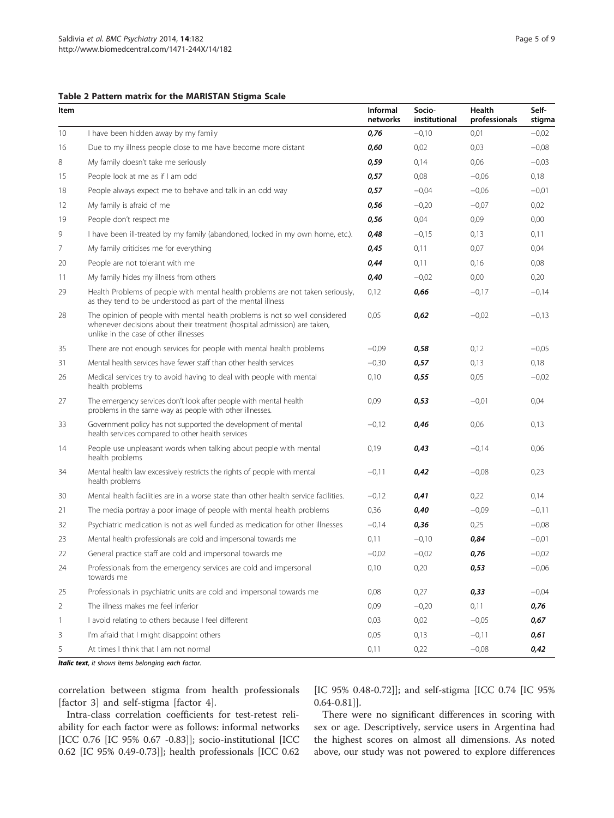#### <span id="page-4-0"></span>Table 2 Pattern matrix for the MARISTAN Stigma Scale

| Item           |                                                                                                                                                                                                  | Informal<br>networks | Socio-<br>institutional | Health<br>professionals | Self-<br>stigma |
|----------------|--------------------------------------------------------------------------------------------------------------------------------------------------------------------------------------------------|----------------------|-------------------------|-------------------------|-----------------|
| 10             | I have been hidden away by my family                                                                                                                                                             | 0,76                 | $-0,10$                 | 0,01                    | $-0,02$         |
| 16             | Due to my illness people close to me have become more distant                                                                                                                                    | 0,60                 | 0,02                    | 0,03                    | $-0,08$         |
| 8              | My family doesn't take me seriously                                                                                                                                                              | 0,59                 | 0,14                    | 0,06                    | $-0,03$         |
| 15             | People look at me as if I am odd                                                                                                                                                                 | 0,57                 | 0,08                    | $-0,06$                 | 0,18            |
| 18             | People always expect me to behave and talk in an odd way                                                                                                                                         | 0,57                 | $-0,04$                 | $-0,06$                 | $-0,01$         |
| 12             | My family is afraid of me                                                                                                                                                                        | 0,56                 | $-0,20$                 | $-0.07$                 | 0,02            |
| 19             | People don't respect me                                                                                                                                                                          | 0,56                 | 0,04                    | 0,09                    | 0,00            |
| 9              | I have been ill-treated by my family (abandoned, locked in my own home, etc.).                                                                                                                   | 0,48                 | $-0,15$                 | 0,13                    | 0,11            |
| 7              | My family criticises me for everything                                                                                                                                                           | 0,45                 | 0,11                    | 0,07                    | 0,04            |
| 20             | People are not tolerant with me                                                                                                                                                                  | 0,44                 | 0,11                    | 0,16                    | 0,08            |
| 11             | My family hides my illness from others                                                                                                                                                           | 0,40                 | $-0,02$                 | 0,00                    | 0,20            |
| 29             | Health Problems of people with mental health problems are not taken seriously,<br>as they tend to be understood as part of the mental illness                                                    | 0,12                 | 0,66                    | $-0,17$                 | $-0,14$         |
| 28             | The opinion of people with mental health problems is not so well considered<br>whenever decisions about their treatment (hospital admission) are taken,<br>unlike in the case of other illnesses | 0,05                 | 0,62                    | $-0.02$                 | $-0,13$         |
| 35             | There are not enough services for people with mental health problems                                                                                                                             | $-0,09$              | 0,58                    | 0,12                    | $-0,05$         |
| 31             | Mental health services have fewer staff than other health services                                                                                                                               | $-0,30$              | 0,57                    | 0,13                    | 0,18            |
| 26             | Medical services try to avoid having to deal with people with mental<br>health problems                                                                                                          | 0,10                 | 0,55                    | 0,05                    | $-0,02$         |
| 27             | The emergency services don't look after people with mental health<br>problems in the same way as people with other illnesses.                                                                    | 0,09                 | 0,53                    | $-0,01$                 | 0,04            |
| 33             | Government policy has not supported the development of mental<br>health services compared to other health services                                                                               | $-0,12$              | 0,46                    | 0,06                    | 0,13            |
| 14             | People use unpleasant words when talking about people with mental<br>health problems                                                                                                             | 0,19                 | 0,43                    | $-0,14$                 | 0,06            |
| 34             | Mental health law excessively restricts the rights of people with mental<br>health problems                                                                                                      | $-0,11$              | 0,42                    | $-0,08$                 | 0,23            |
| 30             | Mental health facilities are in a worse state than other health service facilities.                                                                                                              | $-0,12$              | 0,41                    | 0,22                    | 0,14            |
| 21             | The media portray a poor image of people with mental health problems                                                                                                                             | 0,36                 | 0,40                    | $-0,09$                 | $-0,11$         |
| 32             | Psychiatric medication is not as well funded as medication for other illnesses                                                                                                                   | $-0,14$              | 0,36                    | 0,25                    | $-0,08$         |
| 23             | Mental health professionals are cold and impersonal towards me                                                                                                                                   | 0,11                 | $-0,10$                 | 0,84                    | $-0,01$         |
| 22             | General practice staff are cold and impersonal towards me                                                                                                                                        | $-0,02$              | $-0,02$                 | 0,76                    | $-0,02$         |
| 24             | Professionals from the emergency services are cold and impersonal<br>towards me                                                                                                                  | 0,10                 | 0,20                    | 0,53                    | $-0,06$         |
| 25             | Professionals in psychiatric units are cold and impersonal towards me                                                                                                                            | 0,08                 | 0,27                    | 0,33                    | $-0,04$         |
| $\overline{2}$ | The illness makes me feel inferior                                                                                                                                                               | 0,09                 | $-0,20$                 | 0,11                    | 0,76            |
| 1              | I avoid relating to others because I feel different                                                                                                                                              | 0,03                 | 0,02                    | $-0,05$                 | 0,67            |
| 3              | I'm afraid that I might disappoint others                                                                                                                                                        | 0,05                 | 0,13                    | $-0,11$                 | 0,61            |
| 5              | At times I think that I am not normal                                                                                                                                                            | 0,11                 | 0,22                    | $-0,08$                 | 0,42            |

Italic text, it shows items belonging each factor.

correlation between stigma from health professionals [factor 3] and self-stigma [factor 4].

Intra-class correlation coefficients for test-retest reliability for each factor were as follows: informal networks [ICC 0.76 [IC 95% 0.67 -0.83]]; socio-institutional [ICC 0.62 [IC 95% 0.49-0.73]]; health professionals [ICC 0.62

[IC 95% 0.48-0.72]]; and self-stigma [ICC 0.74 [IC 95% 0.64-0.81]].

There were no significant differences in scoring with sex or age. Descriptively, service users in Argentina had the highest scores on almost all dimensions. As noted above, our study was not powered to explore differences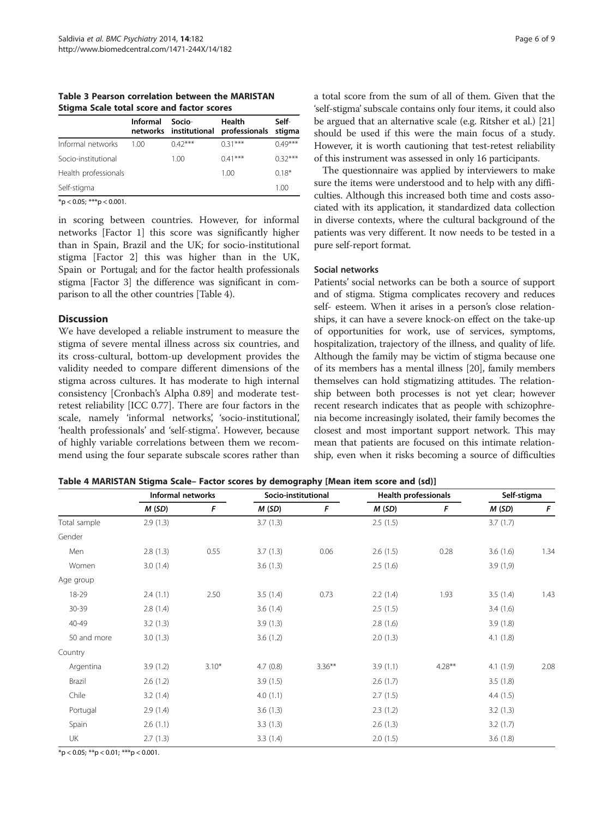<span id="page-5-0"></span>Table 3 Pearson correlation between the MARISTAN Stigma Scale total score and factor scores

|                                 | <b>Informal</b> | Socio-<br>networks institutional | <b>Health</b><br>professionals stigma | Self-     |
|---------------------------------|-----------------|----------------------------------|---------------------------------------|-----------|
| Informal networks               | 1.00            | $0.42***$                        | $0.31***$                             | $0.49***$ |
| Socio-institutional             |                 | 1.00                             | $0.41***$                             | $0.32***$ |
| Health professionals            |                 |                                  | 1.00                                  | $0.18*$   |
| Self-stigma                     |                 |                                  |                                       | 1.00      |
| $*_{n}$ > 0.05 $**_{n}$ > 0.001 |                 |                                  |                                       |           |

 $p < 0.05$ ;  $***p < 0.001$ .

in scoring between countries. However, for informal networks [Factor 1] this score was significantly higher than in Spain, Brazil and the UK; for socio-institutional stigma [Factor 2] this was higher than in the UK, Spain or Portugal; and for the factor health professionals stigma [Factor 3] the difference was significant in comparison to all the other countries [Table 4).

# **Discussion**

We have developed a reliable instrument to measure the stigma of severe mental illness across six countries, and its cross-cultural, bottom-up development provides the validity needed to compare different dimensions of the stigma across cultures. It has moderate to high internal consistency [Cronbach's Alpha 0.89] and moderate testretest reliability [ICC 0.77]. There are four factors in the scale, namely 'informal networks', 'socio-institutional', 'health professionals' and 'self-stigma'. However, because of highly variable correlations between them we recommend using the four separate subscale scores rather than a total score from the sum of all of them. Given that the 'self-stigma' subscale contains only four items, it could also be argued that an alternative scale (e.g. Ritsher et al.) [[21](#page-7-0)] should be used if this were the main focus of a study. However, it is worth cautioning that test-retest reliability of this instrument was assessed in only 16 participants.

The questionnaire was applied by interviewers to make sure the items were understood and to help with any difficulties. Although this increased both time and costs associated with its application, it standardized data collection in diverse contexts, where the cultural background of the patients was very different. It now needs to be tested in a pure self-report format.

#### Social networks

Patients' social networks can be both a source of support and of stigma. Stigma complicates recovery and reduces self- esteem. When it arises in a person's close relationships, it can have a severe knock-on effect on the take-up of opportunities for work, use of services, symptoms, hospitalization, trajectory of the illness, and quality of life. Although the family may be victim of stigma because one of its members has a mental illness [\[20](#page-7-0)], family members themselves can hold stigmatizing attitudes. The relationship between both processes is not yet clear; however recent research indicates that as people with schizophrenia become increasingly isolated, their family becomes the closest and most important support network. This may mean that patients are focused on this intimate relationship, even when it risks becoming a source of difficulties

| Table 4 MARISTAN Stigma Scale- Factor scores by demography [Mean item score and (sd)] |  |  |
|---------------------------------------------------------------------------------------|--|--|
|---------------------------------------------------------------------------------------|--|--|

|              | <b>Informal networks</b> |         | Socio-institutional |           | <b>Health professionals</b> |           | Self-stigma |      |
|--------------|--------------------------|---------|---------------------|-----------|-----------------------------|-----------|-------------|------|
|              | M(SD)                    | F       | M(SD)               | F         | M(SD)                       | F         | M(SD)       | F    |
| Total sample | 2.9(1.3)                 |         | 3.7(1.3)            |           | 2.5(1.5)                    |           | 3.7(1.7)    |      |
| Gender       |                          |         |                     |           |                             |           |             |      |
| Men          | 2.8(1.3)                 | 0.55    | 3.7(1.3)            | 0.06      | 2.6(1.5)                    | 0.28      | 3.6(1.6)    | 1.34 |
| Women        | 3.0(1.4)                 |         | 3.6(1.3)            |           | 2.5(1.6)                    |           | 3.9(1,9)    |      |
| Age group    |                          |         |                     |           |                             |           |             |      |
| 18-29        | 2.4(1.1)                 | 2.50    | 3.5(1.4)            | 0.73      | 2.2(1.4)                    | 1.93      | 3.5(1.4)    | 1.43 |
| 30-39        | 2.8(1.4)                 |         | 3.6(1.4)            |           | 2.5(1.5)                    |           | 3.4(1.6)    |      |
| 40-49        | 3.2(1.3)                 |         | 3.9(1.3)            |           | 2.8(1.6)                    |           | 3.9(1.8)    |      |
| 50 and more  | 3.0(1.3)                 |         | 3.6(1.2)            |           | 2.0(1.3)                    |           | 4.1(1.8)    |      |
| Country      |                          |         |                     |           |                             |           |             |      |
| Argentina    | 3.9(1.2)                 | $3.10*$ | 4.7(0.8)            | $3.36***$ | 3.9(1.1)                    | $4.28***$ | 4.1(1.9)    | 2.08 |
| Brazil       | 2.6(1.2)                 |         | 3.9(1.5)            |           | 2.6(1.7)                    |           | 3.5(1.8)    |      |
| Chile        | 3.2(1.4)                 |         | 4.0(1.1)            |           | 2.7(1.5)                    |           | 4.4(1.5)    |      |
| Portugal     | 2.9(1.4)                 |         | 3.6(1.3)            |           | 2.3(1.2)                    |           | 3.2(1.3)    |      |
| Spain        | 2.6(1.1)                 |         | 3.3(1.3)            |           | 2.6(1.3)                    |           | 3.2(1.7)    |      |
| UK           | 2.7(1.3)                 |         | 3.3(1.4)            |           | 2.0(1.5)                    |           | 3.6(1.8)    |      |

 $*$ p < 0.05;  $**$ p < 0.01;  $***$ p < 0.001.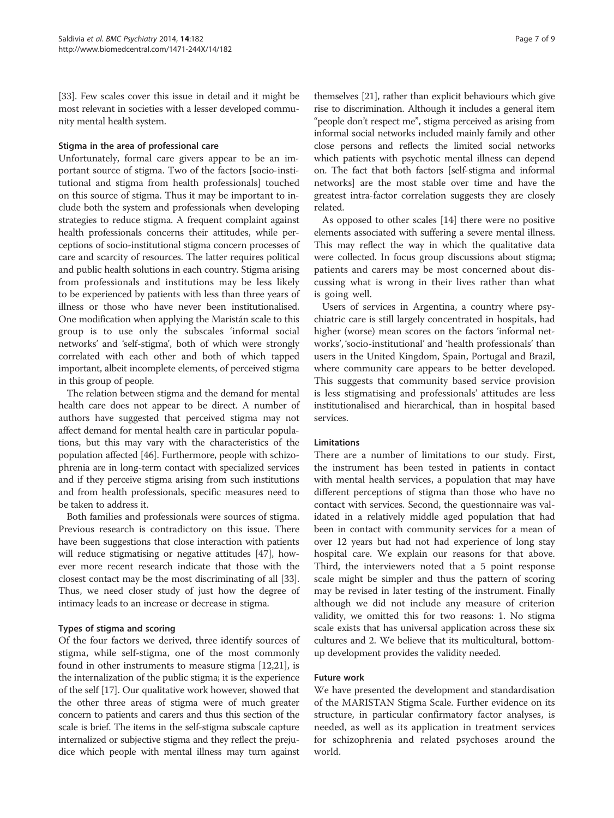[[33](#page-7-0)]. Few scales cover this issue in detail and it might be most relevant in societies with a lesser developed community mental health system.

#### Stigma in the area of professional care

Unfortunately, formal care givers appear to be an important source of stigma. Two of the factors [socio-institutional and stigma from health professionals] touched on this source of stigma. Thus it may be important to include both the system and professionals when developing strategies to reduce stigma. A frequent complaint against health professionals concerns their attitudes, while perceptions of socio-institutional stigma concern processes of care and scarcity of resources. The latter requires political and public health solutions in each country. Stigma arising from professionals and institutions may be less likely to be experienced by patients with less than three years of illness or those who have never been institutionalised. One modification when applying the Maristán scale to this group is to use only the subscales 'informal social networks' and 'self-stigma', both of which were strongly correlated with each other and both of which tapped important, albeit incomplete elements, of perceived stigma in this group of people.

The relation between stigma and the demand for mental health care does not appear to be direct. A number of authors have suggested that perceived stigma may not affect demand for mental health care in particular populations, but this may vary with the characteristics of the population affected [\[46](#page-8-0)]. Furthermore, people with schizophrenia are in long-term contact with specialized services and if they perceive stigma arising from such institutions and from health professionals, specific measures need to be taken to address it.

Both families and professionals were sources of stigma. Previous research is contradictory on this issue. There have been suggestions that close interaction with patients will reduce stigmatising or negative attitudes [[47](#page-8-0)], however more recent research indicate that those with the closest contact may be the most discriminating of all [[33](#page-7-0)]. Thus, we need closer study of just how the degree of intimacy leads to an increase or decrease in stigma.

#### Types of stigma and scoring

Of the four factors we derived, three identify sources of stigma, while self-stigma, one of the most commonly found in other instruments to measure stigma [[12,21\]](#page-7-0), is the internalization of the public stigma; it is the experience of the self [\[17\]](#page-7-0). Our qualitative work however, showed that the other three areas of stigma were of much greater concern to patients and carers and thus this section of the scale is brief. The items in the self-stigma subscale capture internalized or subjective stigma and they reflect the prejudice which people with mental illness may turn against

themselves [[21](#page-7-0)], rather than explicit behaviours which give rise to discrimination. Although it includes a general item "people don't respect me", stigma perceived as arising from informal social networks included mainly family and other close persons and reflects the limited social networks which patients with psychotic mental illness can depend on. The fact that both factors [self-stigma and informal networks] are the most stable over time and have the greatest intra-factor correlation suggests they are closely related.

As opposed to other scales [\[14](#page-7-0)] there were no positive elements associated with suffering a severe mental illness. This may reflect the way in which the qualitative data were collected. In focus group discussions about stigma; patients and carers may be most concerned about discussing what is wrong in their lives rather than what is going well.

Users of services in Argentina, a country where psychiatric care is still largely concentrated in hospitals, had higher (worse) mean scores on the factors 'informal networks', 'socio-institutional' and 'health professionals' than users in the United Kingdom, Spain, Portugal and Brazil, where community care appears to be better developed. This suggests that community based service provision is less stigmatising and professionals' attitudes are less institutionalised and hierarchical, than in hospital based services.

#### Limitations

There are a number of limitations to our study. First, the instrument has been tested in patients in contact with mental health services, a population that may have different perceptions of stigma than those who have no contact with services. Second, the questionnaire was validated in a relatively middle aged population that had been in contact with community services for a mean of over 12 years but had not had experience of long stay hospital care. We explain our reasons for that above. Third, the interviewers noted that a 5 point response scale might be simpler and thus the pattern of scoring may be revised in later testing of the instrument. Finally although we did not include any measure of criterion validity, we omitted this for two reasons: 1. No stigma scale exists that has universal application across these six cultures and 2. We believe that its multicultural, bottomup development provides the validity needed.

#### Future work

We have presented the development and standardisation of the MARISTAN Stigma Scale. Further evidence on its structure, in particular confirmatory factor analyses, is needed, as well as its application in treatment services for schizophrenia and related psychoses around the world.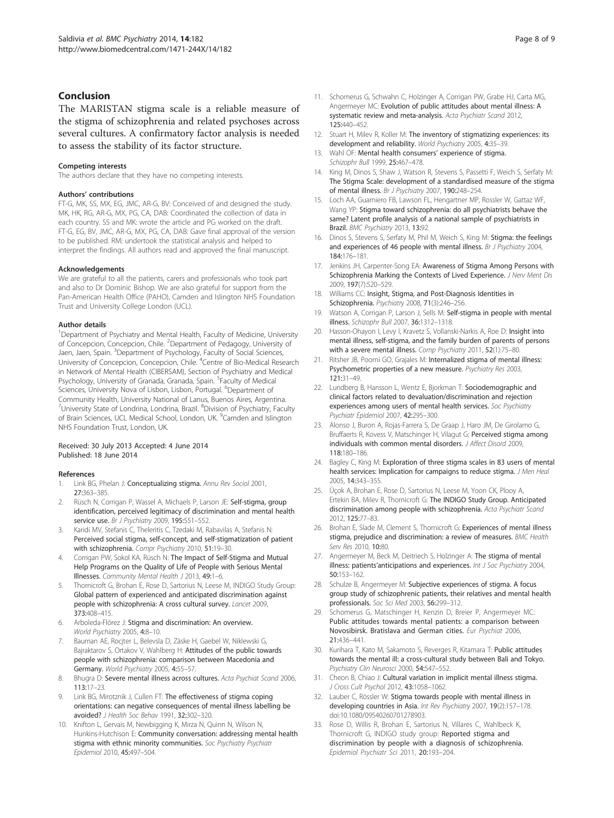# <span id="page-7-0"></span>Conclusion

The MARISTAN stigma scale is a reliable measure of the stigma of schizophrenia and related psychoses across several cultures. A confirmatory factor analysis is needed to assess the stability of its factor structure.

#### Competing interests

The authors declare that they have no competing interests.

#### Authors' contributions

FT-G, MK, SS, MX, EG, JMC, AR-G, BV: Conceived of and designed the study. MK, HK, RG, AR-G, MX, PG, CA, DAB: Coordinated the collection of data in each country. SS and MK: wrote the article and PG worked on the draft. FT-G, EG, BV, JMC, AR-G, MX, PG, CA, DAB: Gave final approval of the version to be published. RM: undertook the statistical analysis and helped to interpret the findings. All authors read and approved the final manuscript.

#### Acknowledgements

We are grateful to all the patients, carers and professionals who took part and also to Dr Dominic Bishop. We are also grateful for support from the Pan-American Health Office (PAHO), Camden and Islington NHS Foundation Trust and University College London (UCL).

#### Author details

<sup>1</sup>Department of Psychiatry and Mental Health, Faculty of Medicine, University of Concepcion, Concepcion, Chile. <sup>2</sup>Department of Pedagogy, University of Jaen, Jaen, Spain. <sup>3</sup>Department of Psychology, Faculty of Social Sciences, University of Concepcion, Concepcion, Chile. <sup>4</sup>Centre of Bio-Medical Research in Network of Mental Health (CIBERSAM), Section of Psychiatry and Medical Psychology, University of Granada, Granada, Spain. <sup>5</sup>Faculty of Medical Sciences, University Nova of Lisbon, Lisbon, Portugal. <sup>6</sup>Department of Community Health, University National of Lanus, Buenos Aires, Argentina. <sup>7</sup>University State of Londrina, Londrina, Brazil. <sup>8</sup>Division of Psychiatry, Faculty of Brain Sciences, UCL Medical School, London, UK. <sup>9</sup>Camden and Islington NHS Foundation Trust, London, UK.

#### Received: 30 July 2013 Accepted: 4 June 2014 Published: 18 June 2014

#### References

- 1. Link BG, Phelan J: Conceptualizing stigma. Annu Rev Sociol 2001, 27:363–385.
- 2. Rüsch N, Corrigan P, Wassel A, Michaels P, Larson JE: Self-stigma, group identification, perceived legitimacy of discrimination and mental health service use. Br J Psychiatry 2009, 195:551-552.
- 3. Karidi MV, Stefanis C, Theleritis C, Tzedaki M, Rabavilas A, Stefanis N: Perceived social stigma, self-concept, and self-stigmatization of patient with schizophrenia. Compr Psychiatry 2010, 51:19–30.
- 4. Corrigan PW, Sokol KA, Rüsch N: The Impact of Self-Stigma and Mutual Help Programs on the Quality of Life of People with Serious Mental Illnesses. Community Mental Health J 2013, 49:1–6.
- 5. Thornicroft G, Brohan E, Rose D, Sartorius N, Leese M, INDIGO Study Group: Global pattern of experienced and anticipated discrimination against people with schizophrenia: A cross cultural survey. Lancet 2009, 373:408–415.
- 6. Arboleda-Flórez J: Stigma and discrimination: An overview. World Psychiatry 2005, 4:8–10.
- 7. Bauman AE, Rocjter L, Belevsla D, Zäske H, Gaebel W, Niklewski G, Bajraktarov S, Ortakov V, Wahlberg H: Attitudes of the public towards people with schizophrenia: comparison between Macedonia and Germany. World Psychiatry 2005, 4:55–57.
- 8. Bhugra D: Severe mental illness across cultures. Acta Psychiat Scand 2006, 113:17–23.
- Link BG, Mirotznik J, Cullen FT: The effectiveness of stigma coping orientations: can negative consequences of mental illness labelling be avoided? J Health Soc Behav 1991, 32:302–320.
- 10. Knifton L, Gervais M, Newbigging K, Mirza N, Quinn N, Wilson N, Hunkins-Hutchison E: Community conversation: addressing mental health stigma with ethnic minority communities. Soc Psychiatry Psychiatr Epidemiol 2010, 45:497–504.
- 11. Schomerus G, Schwahn C, Holzinger A, Corrigan PW, Grabe HJ, Carta MG, Angermeyer MC: Evolution of public attitudes about mental illness: A systematic review and meta-analysis. Acta Psychiatr Scand 2012, 125:440–452.
- 12. Stuart H, Miley R, Koller M: The inventory of stigmatizing experiences: its development and reliability. World Psychiatry 2005, 4:35–39.
- 13. Wahl OF: Mental health consumers' experience of stigma. Schizophr Bull 1999, 25:467–478.
- 14. King M, Dinos S, Shaw J, Watson R, Stevens S, Passetti F, Weich S, Serfaty M: The Stigma Scale: development of a standardised measure of the stigma of mental illness. Br J Psychiatry 2007, 190:248–254.
- 15. Loch AA, Guarniero FB, Lawson FL, Hengartner MP, Rossler W, Gattaz WF, Wang YP: Stigma toward schizophrenia: do all psychiatrists behave the same? Latent profile analysis of a national sample of psychiatrists in Brazil. BMC Psychiatry 2013, 13:92.
- 16. Dinos S, Stevens S, Serfaty M, Phil M, Weich S, King M: Stigma: the feelings and experiences of 46 people with mental illness. Br J Psychiatry 2004, 184:176–181.
- 17. Jenkins JH, Carpenter-Song EA: Awareness of Stigma Among Persons with Schizophrenia Marking the Contexts of Lived Experience. J Nerv Ment Dis 2009, 197(7):520–529.
- 18. Williams CC: Insight, Stigma, and Post-Diagnosis Identities in Schizophrenia. Psychiatry 2008, 71(3):246-256.
- 19. Watson A, Corrigan P, Larson J, Sells M: Self-stigma in people with mental illness. Schizophr Bull 2007, 36:1312–1318.
- 20. Hasson-Ohayon I, Levy I, Kravetz S, Vollanski-Narkis A, Roe D: Insight into mental illness, self-stigma, and the family burden of parents of persons with a severe mental illness. Comp Psychiatry 2011, 52(1):75–80.
- 21. Ritsher JB, Poorni GO, Grajales M: Internalized stigma of mental illness: Psychometric properties of a new measure. Psychiatry Res 2003, 121:31–49.
- 22. Lundberg B, Hansson L, Wentz E, Bjorkman T: Sociodemographic and clinical factors related to devaluation/discrimination and rejection experiences among users of mental health services. Soc Psychiatry Psychiatr Epidemiol 2007, 42:295–300.
- 23. Alonso J, Buron A, Rojas-Farrera S, De Graap J, Haro JM, De Girolamo G, Bruffaerts R, Kovess V, Matschinger H, Vilagut G: Perceived stigma among individuals with common mental disorders. J Affect Disord 2009, 118:180–186.
- 24. Bagley C, King M: Exploration of three stigma scales in 83 users of mental health services: Implication for campaigns to reduce stigma. J Men Heal 2005, 14:343–355.
- 25. Üçok A, Brohan E, Rose D, Sartorius N, Leese M, Yoon CK, Plooy A, Ertekin BA, Milev R, Thornicroft G: The INDIGO Study Group. Anticipated discrimination among people with schizophrenia. Acta Psychiatr Scand 2012, 125:77–83.
- 26. Brohan E, Slade M, Clement S, Thornicroft G: Experiences of mental illness stigma, prejudice and discrimination: a review of measures. BMC Health Serv Res 2010, 10:80.
- Angermeyer M, Beck M, Deitriech S, Holzinger A: The stigma of mental illness: patients'anticipations and experiences. Int J Soc Psychiatry 2004, 50:153–162.
- 28. Schulze B, Angermeyer M: Subjective experiences of stigma. A focus group study of schizophrenic patients, their relatives and mental health professionals. Soc Sci Med 2003, 56:299–312.
- 29. Schomerus G, Matschinger H, Kenzin D, Breier P, Angermeyer MC: Public attitudes towards mental patients: a comparison between Novosibirsk. Bratislava and German cities. Eur Psychiat 2006, 21:436–441.
- 30. Kurihara T, Kato M, Sakamoto S, Reverges R, Kitamara T: Public attitudes towards the mental ill: a cross-cultural study between Bali and Tokyo. Psychiatry Clin Neurosci 2000, 54:547–552.
- 31. Cheon B, Chiao J: Cultural variation in implicit mental illness stigma. J Cross Cult Psychol 2012, 43:1058-1062.
- 32. Lauber C, Rössler W: Stigma towards people with mental illness in developing countries in Asia. Int Rev Psychiatry 2007, 19(2):157-178. doi:10.1080/09540260701278903.
- 33. Rose D, Willis R, Brohan E, Sartorius N, Villares C, Wahlbeck K, Thornicroft G, INDIGO study group: Reported stigma and discrimination by people with a diagnosis of schizophrenia. Epidemiol Psychiatr Sci 2011, 20:193–204.